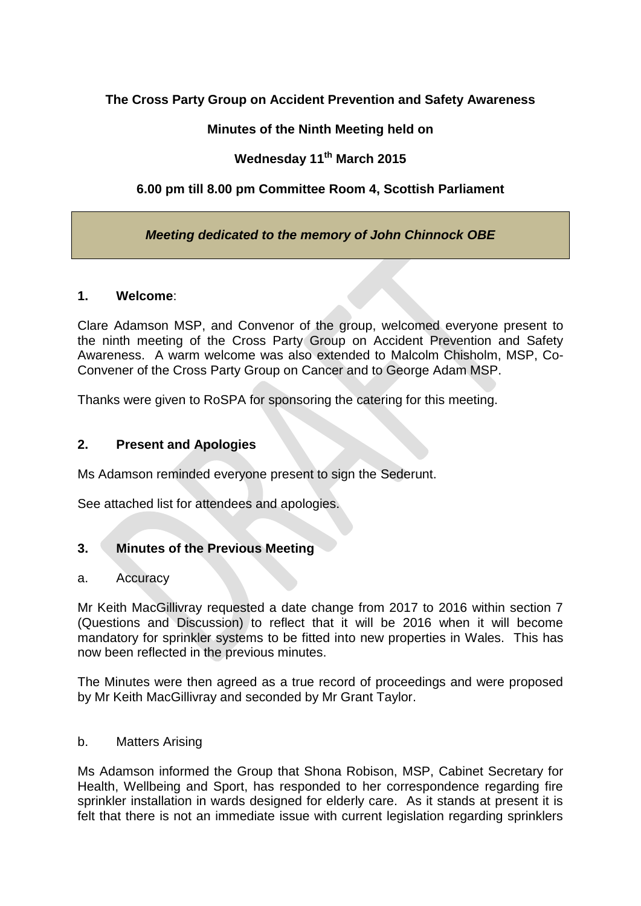## **The Cross Party Group on Accident Prevention and Safety Awareness**

## **Minutes of the Ninth Meeting held on**

# **Wednesday 11th March 2015**

## **6.00 pm till 8.00 pm Committee Room 4, Scottish Parliament**

## *Meeting dedicated to the memory of John Chinnock OBE*

#### **1. Welcome**:

Clare Adamson MSP, and Convenor of the group, welcomed everyone present to the ninth meeting of the Cross Party Group on Accident Prevention and Safety Awareness. A warm welcome was also extended to Malcolm Chisholm, MSP, Co-Convener of the Cross Party Group on Cancer and to George Adam MSP.

Thanks were given to RoSPA for sponsoring the catering for this meeting.

### **2. Present and Apologies**

Ms Adamson reminded everyone present to sign the Sederunt.

See attached list for attendees and apologies.

#### **3. Minutes of the Previous Meeting**

#### a. Accuracy

Mr Keith MacGillivray requested a date change from 2017 to 2016 within section 7 (Questions and Discussion) to reflect that it will be 2016 when it will become mandatory for sprinkler systems to be fitted into new properties in Wales. This has now been reflected in the previous minutes.

The Minutes were then agreed as a true record of proceedings and were proposed by Mr Keith MacGillivray and seconded by Mr Grant Taylor.

#### b. Matters Arising

Ms Adamson informed the Group that Shona Robison, MSP, Cabinet Secretary for Health, Wellbeing and Sport, has responded to her correspondence regarding fire sprinkler installation in wards designed for elderly care. As it stands at present it is felt that there is not an immediate issue with current legislation regarding sprinklers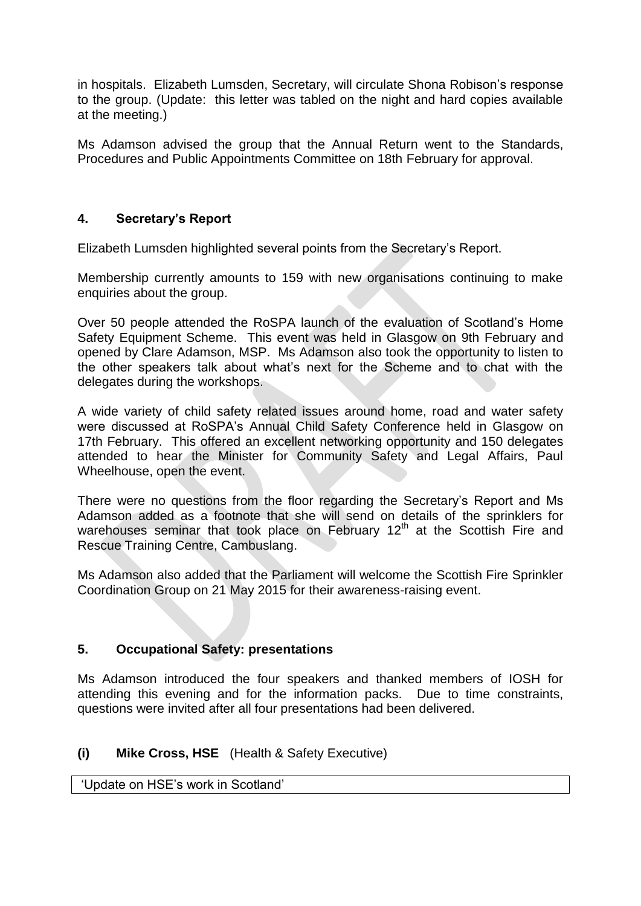in hospitals. Elizabeth Lumsden, Secretary, will circulate Shona Robison's response to the group. (Update: this letter was tabled on the night and hard copies available at the meeting.)

Ms Adamson advised the group that the Annual Return went to the Standards, Procedures and Public Appointments Committee on 18th February for approval.

## **4. Secretary's Report**

Elizabeth Lumsden highlighted several points from the Secretary's Report.

Membership currently amounts to 159 with new organisations continuing to make enquiries about the group.

Over 50 people attended the RoSPA launch of the evaluation of Scotland's Home Safety Equipment Scheme. This event was held in Glasgow on 9th February and opened by Clare Adamson, MSP. Ms Adamson also took the opportunity to listen to the other speakers talk about what's next for the Scheme and to chat with the delegates during the workshops.

A wide variety of child safety related issues around home, road and water safety were discussed at RoSPA's Annual Child Safety Conference held in Glasgow on 17th February. This offered an excellent networking opportunity and 150 delegates attended to hear the Minister for Community Safety and Legal Affairs, Paul Wheelhouse, open the event.

There were no questions from the floor regarding the Secretary's Report and Ms Adamson added as a footnote that she will send on details of the sprinklers for warehouses seminar that took place on February  $12<sup>th</sup>$  at the Scottish Fire and Rescue Training Centre, Cambuslang.

Ms Adamson also added that the Parliament will welcome the Scottish Fire Sprinkler Coordination Group on 21 May 2015 for their awareness-raising event.

## **5. Occupational Safety: presentations**

Ms Adamson introduced the four speakers and thanked members of IOSH for attending this evening and for the information packs. Due to time constraints, questions were invited after all four presentations had been delivered.

## **(i) Mike Cross, HSE** (Health & Safety Executive)

'Update on HSE's work in Scotland'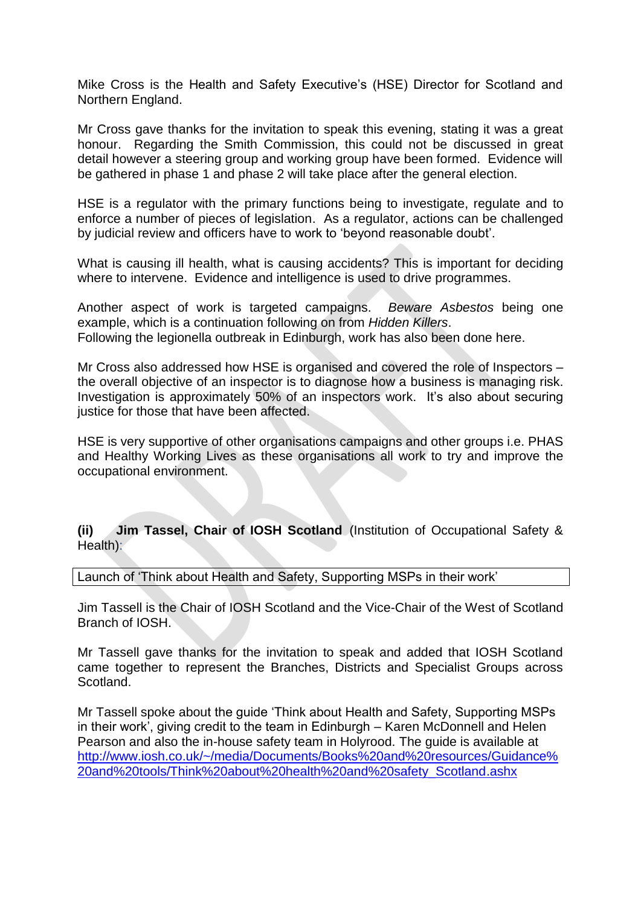Mike Cross is the Health and Safety Executive's (HSE) Director for Scotland and Northern England.

Mr Cross gave thanks for the invitation to speak this evening, stating it was a great honour. Regarding the Smith Commission, this could not be discussed in great detail however a steering group and working group have been formed. Evidence will be gathered in phase 1 and phase 2 will take place after the general election.

HSE is a regulator with the primary functions being to investigate, regulate and to enforce a number of pieces of legislation. As a regulator, actions can be challenged by judicial review and officers have to work to 'beyond reasonable doubt'.

What is causing ill health, what is causing accidents? This is important for deciding where to intervene. Evidence and intelligence is used to drive programmes.

Another aspect of work is targeted campaigns. *Beware Asbestos* being one example, which is a continuation following on from *Hidden Killers*. Following the legionella outbreak in Edinburgh, work has also been done here.

Mr Cross also addressed how HSE is organised and covered the role of Inspectors – the overall objective of an inspector is to diagnose how a business is managing risk. Investigation is approximately 50% of an inspectors work. It's also about securing justice for those that have been affected.

HSE is very supportive of other organisations campaigns and other groups i.e. PHAS and Healthy Working Lives as these organisations all work to try and improve the occupational environment.

**(ii) Jim Tassel, Chair of IOSH Scotland** (Institution of Occupational Safety & Health):

Launch of 'Think about Health and Safety, Supporting MSPs in their work'

Jim Tassell is the Chair of IOSH Scotland and the Vice-Chair of the West of Scotland Branch of IOSH.

Mr Tassell gave thanks for the invitation to speak and added that IOSH Scotland came together to represent the Branches, Districts and Specialist Groups across Scotland.

Mr Tassell spoke about the guide 'Think about Health and Safety, Supporting MSPs in their work', giving credit to the team in Edinburgh – Karen McDonnell and Helen Pearson and also the in-house safety team in Holyrood. The guide is available at [http://www.iosh.co.uk/~/media/Documents/Books%20and%20resources/Guidance%](http://www.iosh.co.uk/~/media/Documents/Books%20and%20resources/Guidance%20and%20tools/Think%20about%20health%20and%20safety_Scotland.ashx) [20and%20tools/Think%20about%20health%20and%20safety\\_Scotland.ashx](http://www.iosh.co.uk/~/media/Documents/Books%20and%20resources/Guidance%20and%20tools/Think%20about%20health%20and%20safety_Scotland.ashx)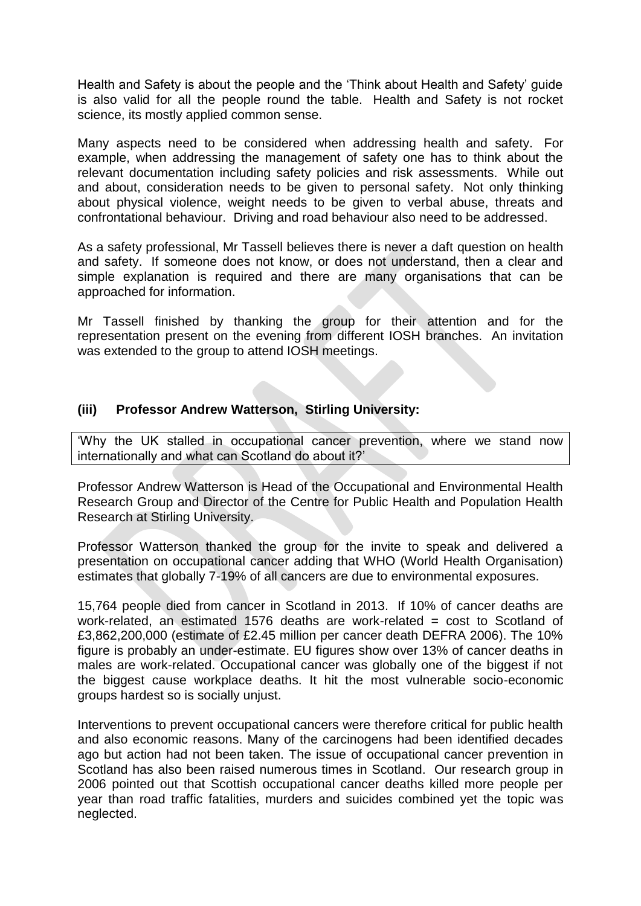Health and Safety is about the people and the 'Think about Health and Safety' guide is also valid for all the people round the table. Health and Safety is not rocket science, its mostly applied common sense.

Many aspects need to be considered when addressing health and safety. For example, when addressing the management of safety one has to think about the relevant documentation including safety policies and risk assessments. While out and about, consideration needs to be given to personal safety. Not only thinking about physical violence, weight needs to be given to verbal abuse, threats and confrontational behaviour. Driving and road behaviour also need to be addressed.

As a safety professional, Mr Tassell believes there is never a daft question on health and safety. If someone does not know, or does not understand, then a clear and simple explanation is required and there are many organisations that can be approached for information.

Mr Tassell finished by thanking the group for their attention and for the representation present on the evening from different IOSH branches. An invitation was extended to the group to attend IOSH meetings.

### **(iii) Professor Andrew Watterson, Stirling University:**

'Why the UK stalled in occupational cancer prevention, where we stand now internationally and what can Scotland do about it?'

Professor Andrew Watterson is Head of the Occupational and Environmental Health Research Group and Director of the Centre for Public Health and Population Health Research at Stirling University.

Professor Watterson thanked the group for the invite to speak and delivered a presentation on occupational cancer adding that WHO (World Health Organisation) estimates that globally 7-19% of all cancers are due to environmental exposures.

15,764 people died from cancer in Scotland in 2013. If 10% of cancer deaths are work-related, an estimated 1576 deaths are work-related = cost to Scotland of £3,862,200,000 (estimate of £2.45 million per cancer death DEFRA 2006). The 10% figure is probably an under-estimate. EU figures show over 13% of cancer deaths in males are work-related. Occupational cancer was globally one of the biggest if not the biggest cause workplace deaths. It hit the most vulnerable socio-economic groups hardest so is socially unjust.

Interventions to prevent occupational cancers were therefore critical for public health and also economic reasons. Many of the carcinogens had been identified decades ago but action had not been taken. The issue of occupational cancer prevention in Scotland has also been raised numerous times in Scotland. Our research group in 2006 pointed out that Scottish occupational cancer deaths killed more people per year than road traffic fatalities, murders and suicides combined yet the topic was neglected.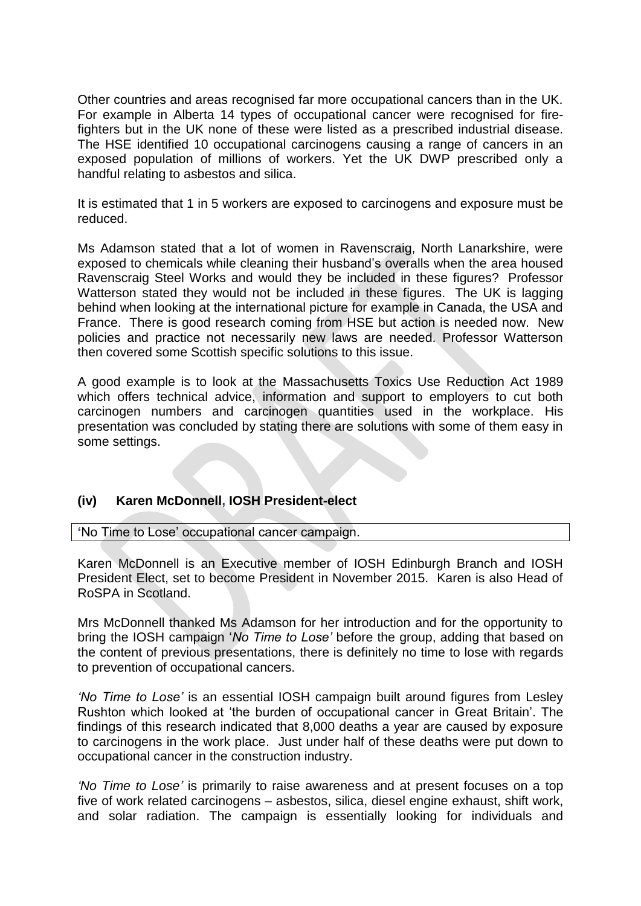Other countries and areas recognised far more occupational cancers than in the UK. For example in Alberta 14 types of occupational cancer were recognised for firefighters but in the UK none of these were listed as a prescribed industrial disease. The HSE identified 10 occupational carcinogens causing a range of cancers in an exposed population of millions of workers. Yet the UK DWP prescribed only a handful relating to asbestos and silica.

It is estimated that 1 in 5 workers are exposed to carcinogens and exposure must be reduced.

Ms Adamson stated that a lot of women in Ravenscraig, North Lanarkshire, were exposed to chemicals while cleaning their husband's overalls when the area housed Ravenscraig Steel Works and would they be included in these figures? Professor Watterson stated they would not be included in these figures. The UK is lagging behind when looking at the international picture for example in Canada, the USA and France. There is good research coming from HSE but action is needed now. New policies and practice not necessarily new laws are needed. Professor Watterson then covered some Scottish specific solutions to this issue.

A good example is to look at the Massachusetts Toxics Use Reduction Act 1989 which offers technical advice, information and support to employers to cut both carcinogen numbers and carcinogen quantities used in the workplace. His presentation was concluded by stating there are solutions with some of them easy in some settings.

## **(iv) Karen McDonnell, IOSH President-elect**

**'**No Time to Lose' occupational cancer campaign.

Karen McDonnell is an Executive member of IOSH Edinburgh Branch and IOSH President Elect, set to become President in November 2015. Karen is also Head of RoSPA in Scotland.

Mrs McDonnell thanked Ms Adamson for her introduction and for the opportunity to bring the IOSH campaign '*No Time to Lose'* before the group, adding that based on the content of previous presentations, there is definitely no time to lose with regards to prevention of occupational cancers.

*'No Time to Lose'* is an essential IOSH campaign built around figures from Lesley Rushton which looked at 'the burden of occupational cancer in Great Britain'. The findings of this research indicated that 8,000 deaths a year are caused by exposure to carcinogens in the work place. Just under half of these deaths were put down to occupational cancer in the construction industry.

*'No Time to Lose'* is primarily to raise awareness and at present focuses on a top five of work related carcinogens – asbestos, silica, diesel engine exhaust, shift work, and solar radiation. The campaign is essentially looking for individuals and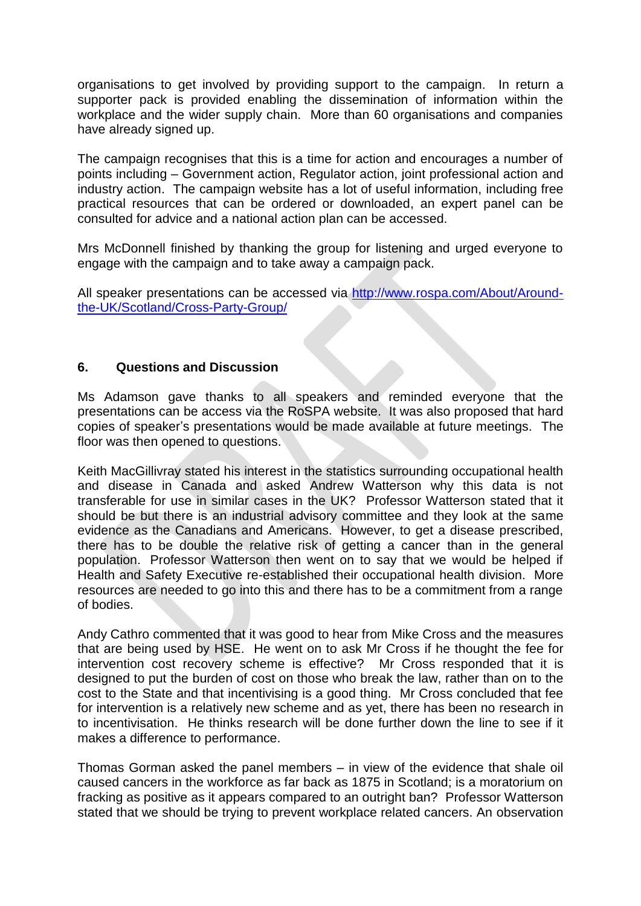organisations to get involved by providing support to the campaign. In return a supporter pack is provided enabling the dissemination of information within the workplace and the wider supply chain. More than 60 organisations and companies have already signed up.

The campaign recognises that this is a time for action and encourages a number of points including – Government action, Regulator action, joint professional action and industry action. The campaign website has a lot of useful information, including free practical resources that can be ordered or downloaded, an expert panel can be consulted for advice and a national action plan can be accessed.

Mrs McDonnell finished by thanking the group for listening and urged everyone to engage with the campaign and to take away a campaign pack.

All speaker presentations can be accessed via [http://www.rospa.com/About/Around](http://www.rospa.com/About/Around-the-UK/Scotland/Cross-Party-Group/)[the-UK/Scotland/Cross-Party-Group/](http://www.rospa.com/About/Around-the-UK/Scotland/Cross-Party-Group/)

### **6. Questions and Discussion**

Ms Adamson gave thanks to all speakers and reminded everyone that the presentations can be access via the RoSPA website. It was also proposed that hard copies of speaker's presentations would be made available at future meetings. The floor was then opened to questions.

Keith MacGillivray stated his interest in the statistics surrounding occupational health and disease in Canada and asked Andrew Watterson why this data is not transferable for use in similar cases in the UK? Professor Watterson stated that it should be but there is an industrial advisory committee and they look at the same evidence as the Canadians and Americans. However, to get a disease prescribed, there has to be double the relative risk of getting a cancer than in the general population. Professor Watterson then went on to say that we would be helped if Health and Safety Executive re-established their occupational health division. More resources are needed to go into this and there has to be a commitment from a range of bodies.

Andy Cathro commented that it was good to hear from Mike Cross and the measures that are being used by HSE. He went on to ask Mr Cross if he thought the fee for intervention cost recovery scheme is effective? Mr Cross responded that it is designed to put the burden of cost on those who break the law, rather than on to the cost to the State and that incentivising is a good thing. Mr Cross concluded that fee for intervention is a relatively new scheme and as yet, there has been no research in to incentivisation. He thinks research will be done further down the line to see if it makes a difference to performance.

Thomas Gorman asked the panel members – in view of the evidence that shale oil caused cancers in the workforce as far back as 1875 in Scotland; is a moratorium on fracking as positive as it appears compared to an outright ban? Professor Watterson stated that we should be trying to prevent workplace related cancers. An observation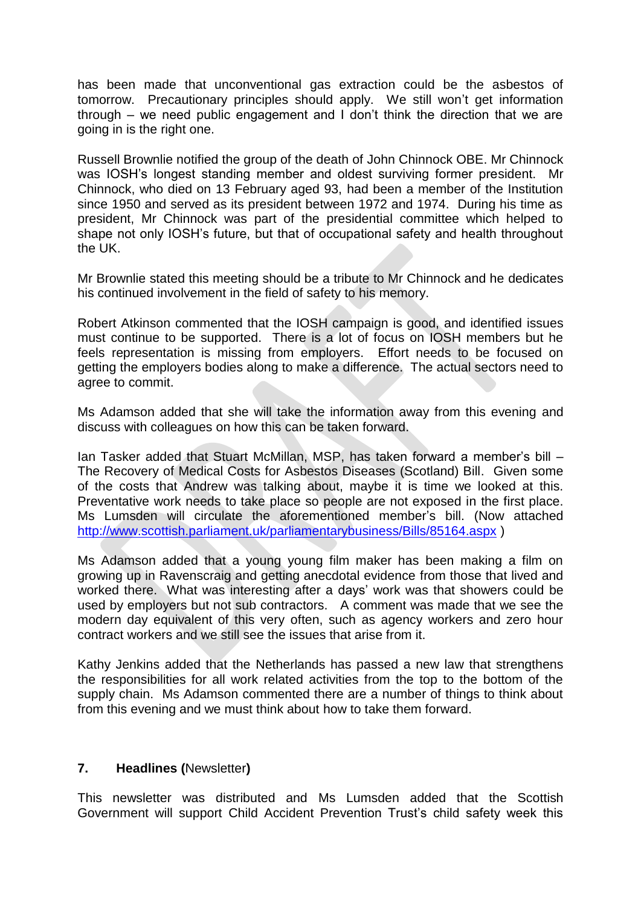has been made that unconventional gas extraction could be the asbestos of tomorrow. Precautionary principles should apply. We still won't get information through – we need public engagement and I don't think the direction that we are going in is the right one.

Russell Brownlie notified the group of the death of John Chinnock OBE. Mr Chinnock was IOSH's longest standing member and oldest surviving former president. Mr Chinnock, who died on 13 February aged 93, had been a member of the Institution since 1950 and served as its president between 1972 and 1974. During his time as president, Mr Chinnock was part of the presidential committee which helped to shape not only IOSH's future, but that of occupational safety and health throughout the UK.

Mr Brownlie stated this meeting should be a tribute to Mr Chinnock and he dedicates his continued involvement in the field of safety to his memory.

Robert Atkinson commented that the IOSH campaign is good, and identified issues must continue to be supported. There is a lot of focus on IOSH members but he feels representation is missing from employers. Effort needs to be focused on getting the employers bodies along to make a difference. The actual sectors need to agree to commit.

Ms Adamson added that she will take the information away from this evening and discuss with colleagues on how this can be taken forward.

Ian Tasker added that Stuart McMillan, MSP, has taken forward a member's bill – The Recovery of Medical Costs for Asbestos Diseases (Scotland) Bill. Given some of the costs that Andrew was talking about, maybe it is time we looked at this. Preventative work needs to take place so people are not exposed in the first place. Ms Lumsden will circulate the aforementioned member's bill. (Now attached <http://www.scottish.parliament.uk/parliamentarybusiness/Bills/85164.aspx> )

Ms Adamson added that a young young film maker has been making a film on growing up in Ravenscraig and getting anecdotal evidence from those that lived and worked there. What was interesting after a days' work was that showers could be used by employers but not sub contractors. A comment was made that we see the modern day equivalent of this very often, such as agency workers and zero hour contract workers and we still see the issues that arise from it.

Kathy Jenkins added that the Netherlands has passed a new law that strengthens the responsibilities for all work related activities from the top to the bottom of the supply chain. Ms Adamson commented there are a number of things to think about from this evening and we must think about how to take them forward.

#### **7. Headlines (**Newsletter**)**

This newsletter was distributed and Ms Lumsden added that the Scottish Government will support Child Accident Prevention Trust's child safety week this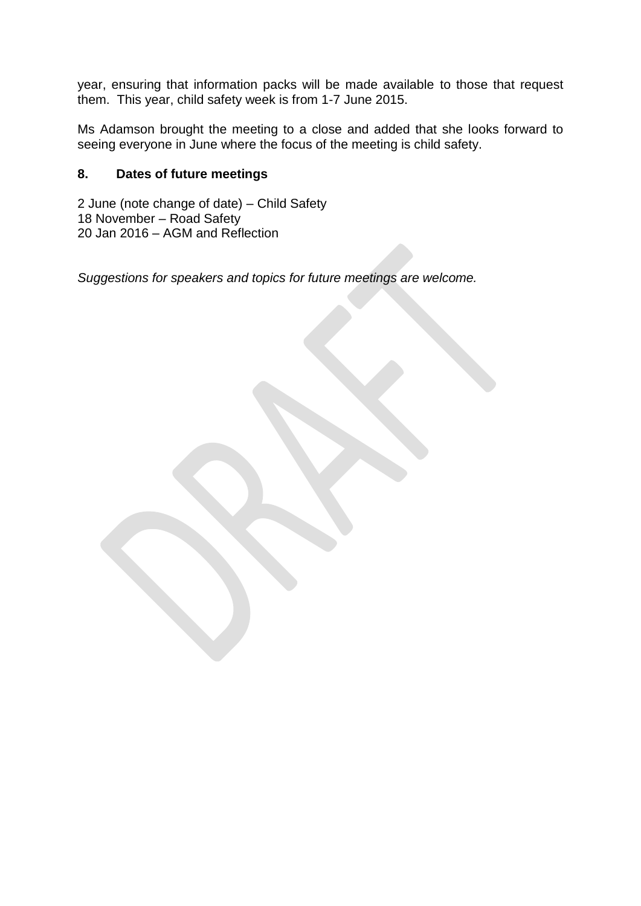year, ensuring that information packs will be made available to those that request them. This year, child safety week is from 1-7 June 2015.

Ms Adamson brought the meeting to a close and added that she looks forward to seeing everyone in June where the focus of the meeting is child safety.

## **8. Dates of future meetings**

2 June (note change of date) – Child Safety 18 November – Road Safety 20 Jan 2016 – AGM and Reflection

*Suggestions for speakers and topics for future meetings are welcome.*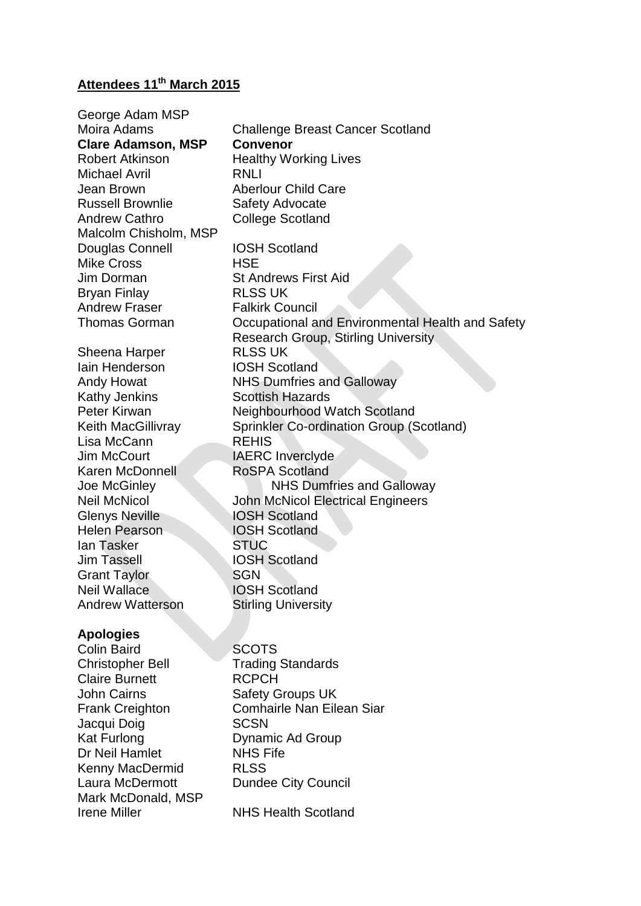# **Attendees 11th March 2015**

| George Adam MSP           |                                                  |
|---------------------------|--------------------------------------------------|
| Moira Adams               | <b>Challenge Breast Cancer Scotland</b>          |
| <b>Clare Adamson, MSP</b> | <b>Convenor</b>                                  |
| <b>Robert Atkinson</b>    | <b>Healthy Working Lives</b>                     |
| <b>Michael Avril</b>      | RNLI                                             |
| Jean Brown                | <b>Aberlour Child Care</b>                       |
| <b>Russell Brownlie</b>   | Safety Advocate                                  |
| <b>Andrew Cathro</b>      | <b>College Scotland</b>                          |
| Malcolm Chisholm, MSP     |                                                  |
| Douglas Connell           | <b>IOSH Scotland</b>                             |
| <b>Mike Cross</b>         | <b>HSE</b>                                       |
| Jim Dorman                | <b>St Andrews First Aid</b>                      |
| <b>Bryan Finlay</b>       | <b>RLSS UK</b>                                   |
| <b>Andrew Fraser</b>      | <b>Falkirk Council</b>                           |
| <b>Thomas Gorman</b>      | Occupational and Environmental Health and Safety |
|                           | <b>Research Group, Stirling University</b>       |
| Sheena Harper             | <b>RLSS UK</b>                                   |
| <b>lain Henderson</b>     | <b>IOSH Scotland</b>                             |
| Andy Howat                | <b>NHS Dumfries and Galloway</b>                 |
| <b>Kathy Jenkins</b>      | <b>Scottish Hazards</b>                          |
| Peter Kirwan              | Neighbourhood Watch Scotland                     |
| Keith MacGillivray        | Sprinkler Co-ordination Group (Scotland)         |
| Lisa McCann               | <b>REHIS</b>                                     |
| <b>Jim McCourt</b>        | <b>IAERC</b> Inverclyde                          |
| Karen McDonnell           | <b>RoSPA Scotland</b>                            |
| Joe McGinley              | <b>NHS Dumfries and Galloway</b>                 |
| <b>Neil McNicol</b>       | John McNicol Electrical Engineers                |
| <b>Glenys Neville</b>     | <b>IOSH Scotland</b>                             |
| <b>Helen Pearson</b>      | <b>IOSH Scotland</b>                             |
| lan Tasker                | <b>STUC</b>                                      |
| <b>Jim Tassell</b>        | <b>IOSH Scotland</b>                             |
| <b>Grant Taylor</b>       | <b>SGN</b>                                       |
| <b>Neil Wallace</b>       | <b>IOSH Scotland</b>                             |
| <b>Andrew Watterson</b>   | <b>Stirling University</b>                       |
|                           |                                                  |
| <b>Apologies</b>          |                                                  |
| <b>Colin Baird</b>        | <b>SCOTS</b>                                     |
| <b>Christopher Bell</b>   | <b>Trading Standards</b>                         |
| <b>Claire Burnett</b>     | <b>RCPCH</b>                                     |
| <b>John Cairns</b>        | <b>Safety Groups UK</b>                          |
| <b>Frank Creighton</b>    | <b>Comhairle Nan Eilean Siar</b>                 |
| Jacqui Doig               | <b>SCSN</b>                                      |
| Kat Furlong               | Dynamic Ad Group                                 |
| Dr Neil Hamlet            | <b>NHS Fife</b>                                  |
| <b>Kenny MacDermid</b>    | <b>RLSS</b>                                      |
| Laura McDermott           | <b>Dundee City Council</b>                       |
| Mark McDonald, MSP        |                                                  |
| <b>Irene Miller</b>       | <b>NHS Health Scotland</b>                       |